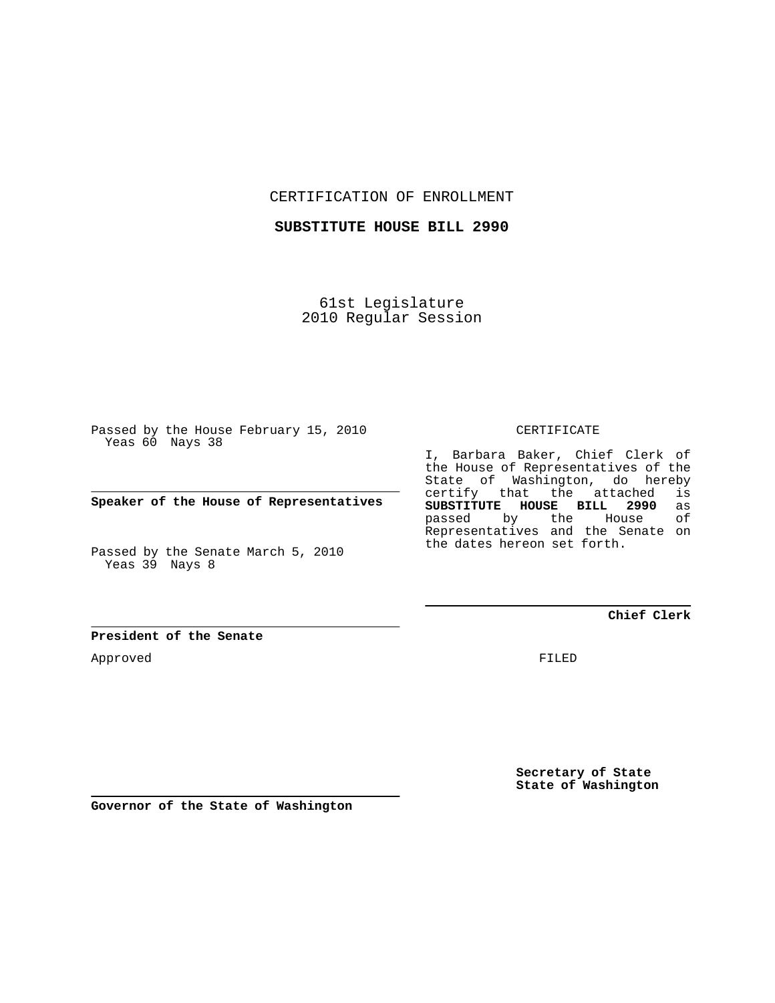CERTIFICATION OF ENROLLMENT

**SUBSTITUTE HOUSE BILL 2990**

61st Legislature 2010 Regular Session

Passed by the House February 15, 2010 Yeas 60 Nays 38

**Speaker of the House of Representatives**

Passed by the Senate March 5, 2010 Yeas 39 Nays 8

**President of the Senate**

Approved

CERTIFICATE

I, Barbara Baker, Chief Clerk of the House of Representatives of the State of Washington, do hereby certify that the attached is<br>**SUBSTITUTE HOUSE BILL 2990** as **SUBSTITUTE HOUSE BILL 2990** as passed by the Representatives and the Senate on the dates hereon set forth.

**Chief Clerk**

FILED

**Secretary of State State of Washington**

**Governor of the State of Washington**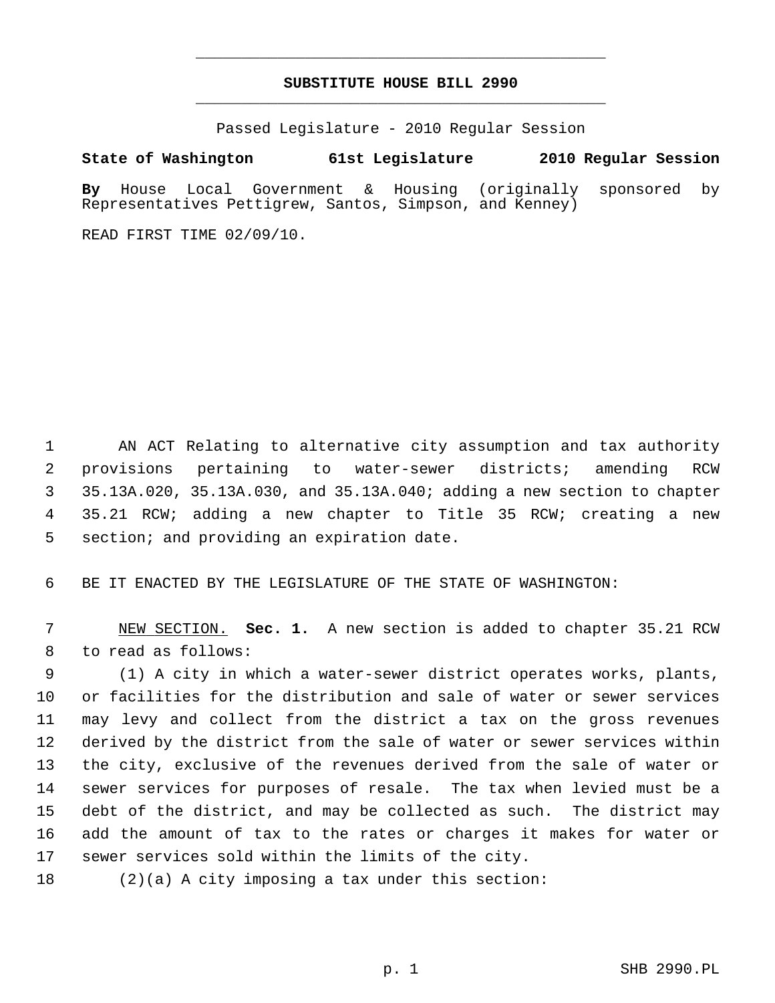## **SUBSTITUTE HOUSE BILL 2990** \_\_\_\_\_\_\_\_\_\_\_\_\_\_\_\_\_\_\_\_\_\_\_\_\_\_\_\_\_\_\_\_\_\_\_\_\_\_\_\_\_\_\_\_\_

\_\_\_\_\_\_\_\_\_\_\_\_\_\_\_\_\_\_\_\_\_\_\_\_\_\_\_\_\_\_\_\_\_\_\_\_\_\_\_\_\_\_\_\_\_

Passed Legislature - 2010 Regular Session

## **State of Washington 61st Legislature 2010 Regular Session**

**By** House Local Government & Housing (originally sponsored by Representatives Pettigrew, Santos, Simpson, and Kenney)

READ FIRST TIME 02/09/10.

 1 AN ACT Relating to alternative city assumption and tax authority 2 provisions pertaining to water-sewer districts; amending RCW 3 35.13A.020, 35.13A.030, and 35.13A.040; adding a new section to chapter 4 35.21 RCW; adding a new chapter to Title 35 RCW; creating a new 5 section; and providing an expiration date.

6 BE IT ENACTED BY THE LEGISLATURE OF THE STATE OF WASHINGTON:

 7 NEW SECTION. **Sec. 1.** A new section is added to chapter 35.21 RCW 8 to read as follows:

 9 (1) A city in which a water-sewer district operates works, plants, 10 or facilities for the distribution and sale of water or sewer services 11 may levy and collect from the district a tax on the gross revenues 12 derived by the district from the sale of water or sewer services within 13 the city, exclusive of the revenues derived from the sale of water or 14 sewer services for purposes of resale. The tax when levied must be a 15 debt of the district, and may be collected as such. The district may 16 add the amount of tax to the rates or charges it makes for water or 17 sewer services sold within the limits of the city.

18 (2)(a) A city imposing a tax under this section: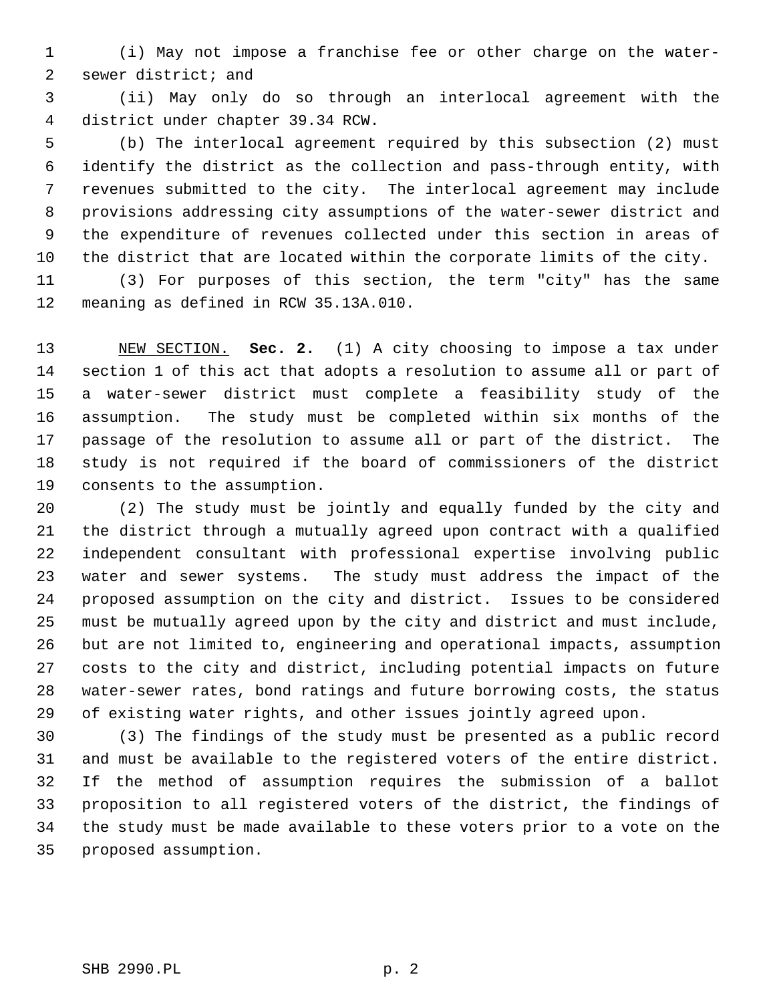1 (i) May not impose a franchise fee or other charge on the water- 2 sewer district; and

 3 (ii) May only do so through an interlocal agreement with the 4 district under chapter 39.34 RCW.

 5 (b) The interlocal agreement required by this subsection (2) must 6 identify the district as the collection and pass-through entity, with 7 revenues submitted to the city. The interlocal agreement may include 8 provisions addressing city assumptions of the water-sewer district and 9 the expenditure of revenues collected under this section in areas of 10 the district that are located within the corporate limits of the city.

11 (3) For purposes of this section, the term "city" has the same 12 meaning as defined in RCW 35.13A.010.

13 NEW SECTION. **Sec. 2.** (1) A city choosing to impose a tax under 14 section 1 of this act that adopts a resolution to assume all or part of 15 a water-sewer district must complete a feasibility study of the 16 assumption. The study must be completed within six months of the 17 passage of the resolution to assume all or part of the district. The 18 study is not required if the board of commissioners of the district 19 consents to the assumption.

20 (2) The study must be jointly and equally funded by the city and 21 the district through a mutually agreed upon contract with a qualified 22 independent consultant with professional expertise involving public 23 water and sewer systems. The study must address the impact of the 24 proposed assumption on the city and district. Issues to be considered 25 must be mutually agreed upon by the city and district and must include, 26 but are not limited to, engineering and operational impacts, assumption 27 costs to the city and district, including potential impacts on future 28 water-sewer rates, bond ratings and future borrowing costs, the status 29 of existing water rights, and other issues jointly agreed upon.

30 (3) The findings of the study must be presented as a public record 31 and must be available to the registered voters of the entire district. 32 If the method of assumption requires the submission of a ballot 33 proposition to all registered voters of the district, the findings of 34 the study must be made available to these voters prior to a vote on the 35 proposed assumption.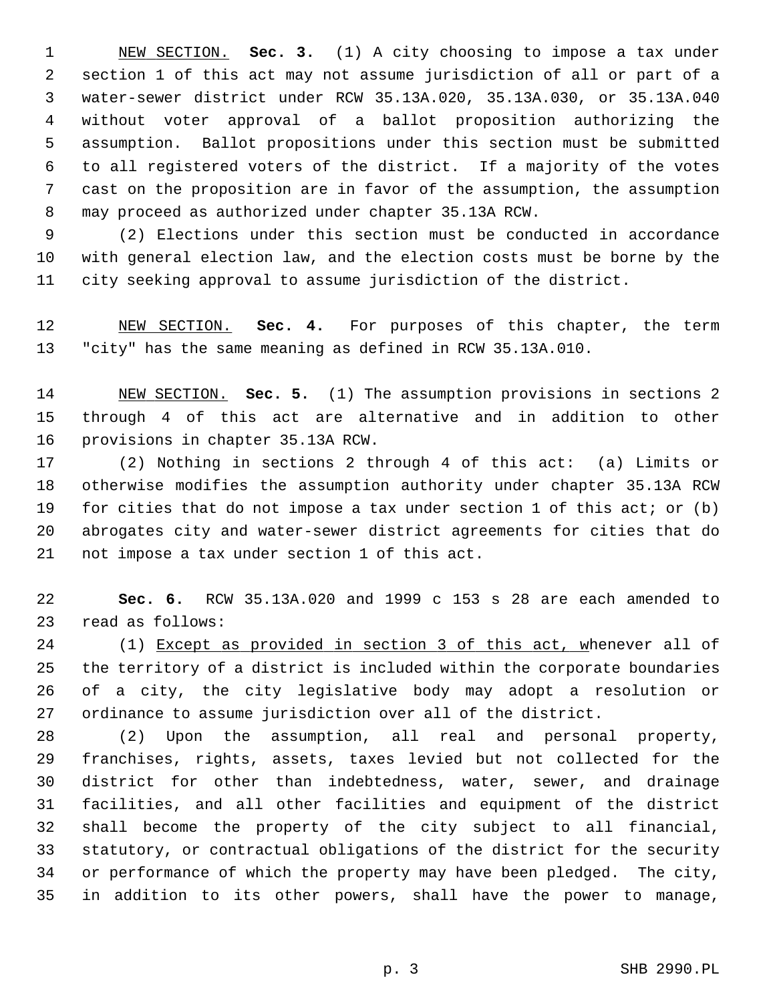1 NEW SECTION. **Sec. 3.** (1) A city choosing to impose a tax under 2 section 1 of this act may not assume jurisdiction of all or part of a 3 water-sewer district under RCW 35.13A.020, 35.13A.030, or 35.13A.040 4 without voter approval of a ballot proposition authorizing the 5 assumption. Ballot propositions under this section must be submitted 6 to all registered voters of the district. If a majority of the votes 7 cast on the proposition are in favor of the assumption, the assumption 8 may proceed as authorized under chapter 35.13A RCW.

 9 (2) Elections under this section must be conducted in accordance 10 with general election law, and the election costs must be borne by the 11 city seeking approval to assume jurisdiction of the district.

12 NEW SECTION. **Sec. 4.** For purposes of this chapter, the term 13 "city" has the same meaning as defined in RCW 35.13A.010.

14 NEW SECTION. **Sec. 5.** (1) The assumption provisions in sections 2 15 through 4 of this act are alternative and in addition to other 16 provisions in chapter 35.13A RCW.

17 (2) Nothing in sections 2 through 4 of this act: (a) Limits or 18 otherwise modifies the assumption authority under chapter 35.13A RCW 19 for cities that do not impose a tax under section 1 of this act; or (b) 20 abrogates city and water-sewer district agreements for cities that do 21 not impose a tax under section 1 of this act.

22 **Sec. 6.** RCW 35.13A.020 and 1999 c 153 s 28 are each amended to 23 read as follows:

24 (1) Except as provided in section 3 of this act, whenever all of 25 the territory of a district is included within the corporate boundaries 26 of a city, the city legislative body may adopt a resolution or 27 ordinance to assume jurisdiction over all of the district.

28 (2) Upon the assumption, all real and personal property, 29 franchises, rights, assets, taxes levied but not collected for the 30 district for other than indebtedness, water, sewer, and drainage 31 facilities, and all other facilities and equipment of the district 32 shall become the property of the city subject to all financial, 33 statutory, or contractual obligations of the district for the security 34 or performance of which the property may have been pledged. The city, 35 in addition to its other powers, shall have the power to manage,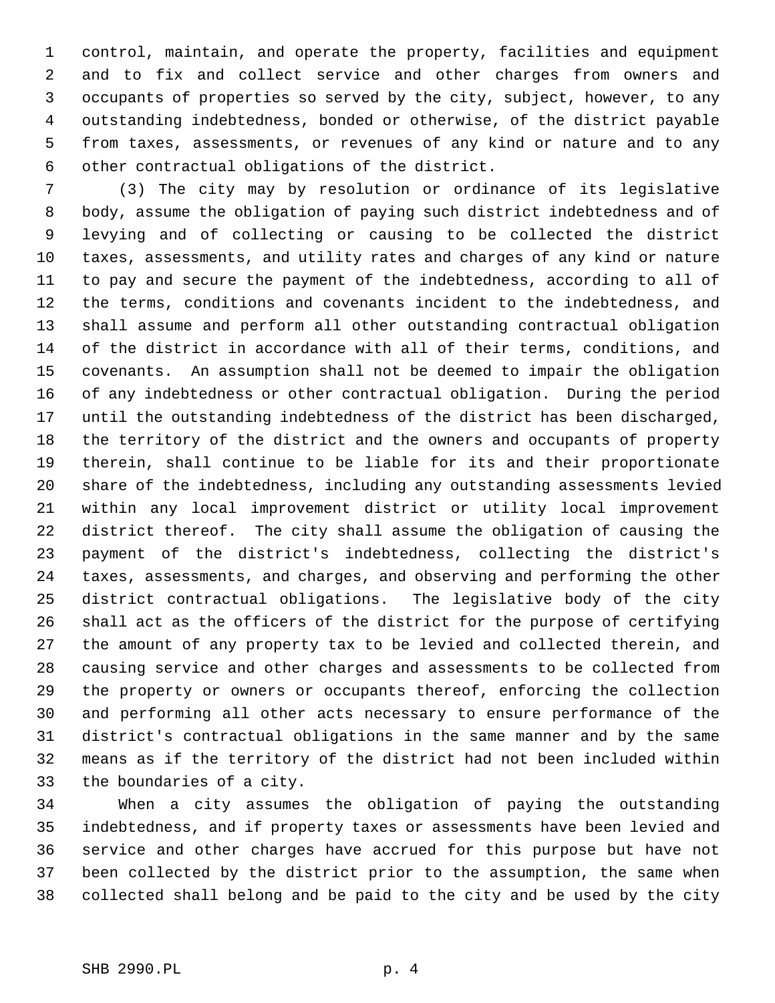1 control, maintain, and operate the property, facilities and equipment 2 and to fix and collect service and other charges from owners and 3 occupants of properties so served by the city, subject, however, to any 4 outstanding indebtedness, bonded or otherwise, of the district payable 5 from taxes, assessments, or revenues of any kind or nature and to any 6 other contractual obligations of the district.

 7 (3) The city may by resolution or ordinance of its legislative 8 body, assume the obligation of paying such district indebtedness and of 9 levying and of collecting or causing to be collected the district 10 taxes, assessments, and utility rates and charges of any kind or nature 11 to pay and secure the payment of the indebtedness, according to all of 12 the terms, conditions and covenants incident to the indebtedness, and 13 shall assume and perform all other outstanding contractual obligation 14 of the district in accordance with all of their terms, conditions, and 15 covenants. An assumption shall not be deemed to impair the obligation 16 of any indebtedness or other contractual obligation. During the period 17 until the outstanding indebtedness of the district has been discharged, 18 the territory of the district and the owners and occupants of property 19 therein, shall continue to be liable for its and their proportionate 20 share of the indebtedness, including any outstanding assessments levied 21 within any local improvement district or utility local improvement 22 district thereof. The city shall assume the obligation of causing the 23 payment of the district's indebtedness, collecting the district's 24 taxes, assessments, and charges, and observing and performing the other 25 district contractual obligations. The legislative body of the city 26 shall act as the officers of the district for the purpose of certifying 27 the amount of any property tax to be levied and collected therein, and 28 causing service and other charges and assessments to be collected from 29 the property or owners or occupants thereof, enforcing the collection 30 and performing all other acts necessary to ensure performance of the 31 district's contractual obligations in the same manner and by the same 32 means as if the territory of the district had not been included within 33 the boundaries of a city.

34 When a city assumes the obligation of paying the outstanding 35 indebtedness, and if property taxes or assessments have been levied and 36 service and other charges have accrued for this purpose but have not 37 been collected by the district prior to the assumption, the same when 38 collected shall belong and be paid to the city and be used by the city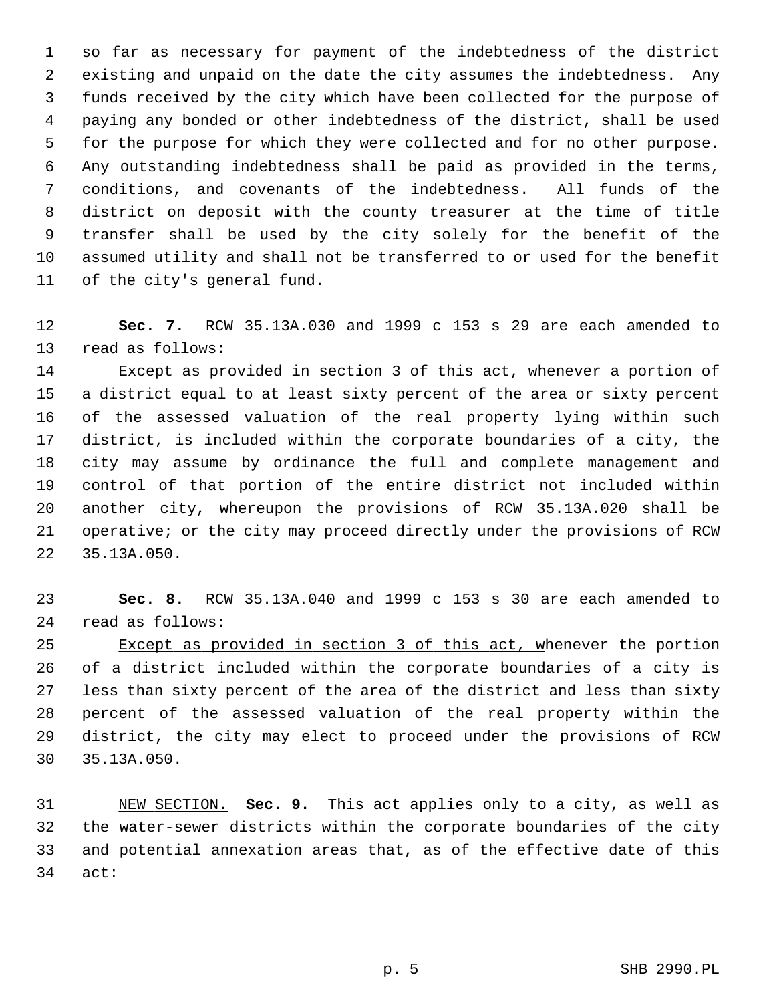1 so far as necessary for payment of the indebtedness of the district 2 existing and unpaid on the date the city assumes the indebtedness. Any 3 funds received by the city which have been collected for the purpose of 4 paying any bonded or other indebtedness of the district, shall be used 5 for the purpose for which they were collected and for no other purpose. 6 Any outstanding indebtedness shall be paid as provided in the terms, 7 conditions, and covenants of the indebtedness. All funds of the 8 district on deposit with the county treasurer at the time of title 9 transfer shall be used by the city solely for the benefit of the 10 assumed utility and shall not be transferred to or used for the benefit 11 of the city's general fund.

12 **Sec. 7.** RCW 35.13A.030 and 1999 c 153 s 29 are each amended to 13 read as follows:

14 Except as provided in section 3 of this act, whenever a portion of 15 a district equal to at least sixty percent of the area or sixty percent 16 of the assessed valuation of the real property lying within such 17 district, is included within the corporate boundaries of a city, the 18 city may assume by ordinance the full and complete management and 19 control of that portion of the entire district not included within 20 another city, whereupon the provisions of RCW 35.13A.020 shall be 21 operative; or the city may proceed directly under the provisions of RCW 22 35.13A.050.

23 **Sec. 8.** RCW 35.13A.040 and 1999 c 153 s 30 are each amended to 24 read as follows:

25 Except as provided in section 3 of this act, whenever the portion 26 of a district included within the corporate boundaries of a city is 27 less than sixty percent of the area of the district and less than sixty 28 percent of the assessed valuation of the real property within the 29 district, the city may elect to proceed under the provisions of RCW 30 35.13A.050.

31 NEW SECTION. **Sec. 9.** This act applies only to a city, as well as 32 the water-sewer districts within the corporate boundaries of the city 33 and potential annexation areas that, as of the effective date of this 34 act: